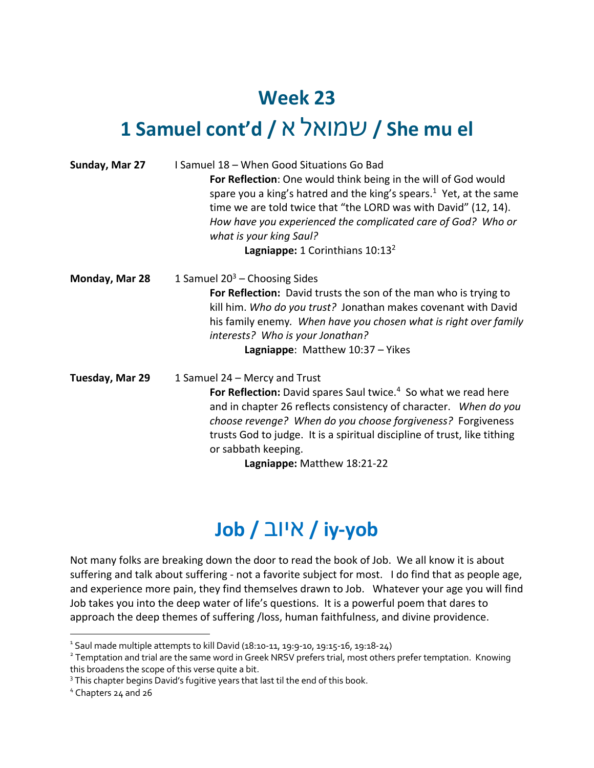## **Week 23**

## **1 Samuel cont'd /** א לאומש **/ She mu el**

| Sunday, Mar 27  | I Samuel 18 - When Good Situations Go Bad<br>For Reflection: One would think being in the will of God would<br>spare you a king's hatred and the king's spears. <sup>1</sup> Yet, at the same<br>time we are told twice that "the LORD was with David" (12, 14).<br>How have you experienced the complicated care of God? Who or<br>what is your king Saul?<br>Lagniappe: 1 Corinthians 10:13 <sup>2</sup> |
|-----------------|------------------------------------------------------------------------------------------------------------------------------------------------------------------------------------------------------------------------------------------------------------------------------------------------------------------------------------------------------------------------------------------------------------|
| Monday, Mar 28  | 1 Samuel $20^3$ – Choosing Sides<br>For Reflection: David trusts the son of the man who is trying to<br>kill him. Who do you trust? Jonathan makes covenant with David<br>his family enemy. When have you chosen what is right over family<br>interests? Who is your Jonathan?<br>Lagniappe: Matthew 10:37 - Yikes                                                                                         |
| Tuesday, Mar 29 | 1 Samuel 24 – Mercy and Trust<br>For Reflection: David spares Saul twice. <sup>4</sup> So what we read here<br>and in chapter 26 reflects consistency of character. When do you<br>choose revenge? When do you choose forgiveness? Forgiveness<br>trusts God to judge. It is a spiritual discipline of trust, like tithing<br>or sabbath keeping.<br>Lagniappe: Matthew 18:21-22                           |

## **Job /** בויא **/ iy-yob**

Not many folks are breaking down the door to read the book of Job. We all know it is about suffering and talk about suffering - not a favorite subject for most. I do find that as people age, and experience more pain, they find themselves drawn to Job. Whatever your age you will find Job takes you into the deep water of life's questions. It is a powerful poem that dares to approach the deep themes of suffering /loss, human faithfulness, and divine providence.

<sup>1</sup> Saul made multiple attempts to kill David (18:10-11, 19:9-10, 19:15-16, 19:18-24)

<sup>&</sup>lt;sup>2</sup> Temptation and trial are the same word in Greek NRSV prefers trial, most others prefer temptation. Knowing this broadens the scope of this verse quite a bit.<br><sup>3</sup> This chapter begins David's fugitive years that last til the end of this book.

<sup>4</sup> Chapters 24 and 26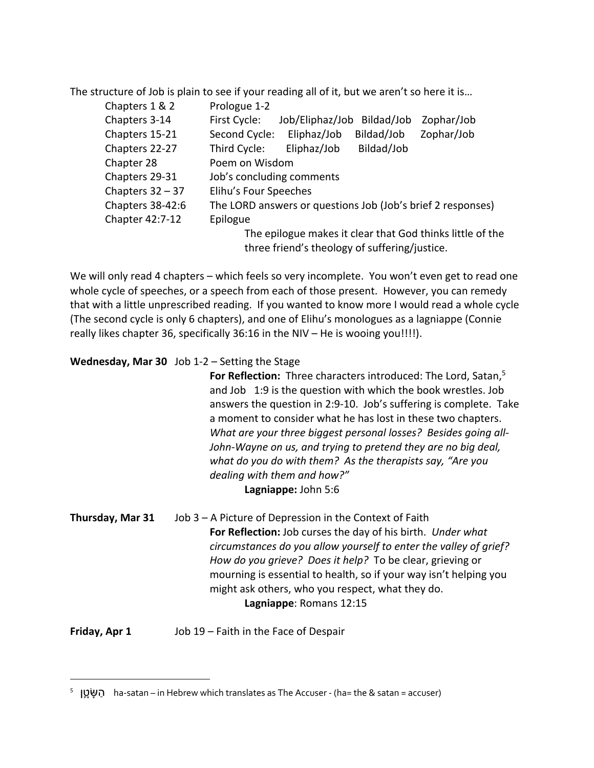The structure of Job is plain to see if your reading all of it, but we aren't so here it is…

| Chapters 1 & 2     | Prologue 1-2                                                |
|--------------------|-------------------------------------------------------------|
| Chapters 3-14      | First Cycle:<br>Job/Eliphaz/Job<br>Bildad/Job<br>Zophar/Job |
| Chapters 15-21     | Eliphaz/Job<br>Second Cycle:<br>Zophar/Job<br>Bildad/Job    |
| Chapters 22-27     | Bildad/Job<br>Third Cycle:<br>Eliphaz/Job                   |
| Chapter 28         | Poem on Wisdom                                              |
| Chapters 29-31     | Job's concluding comments                                   |
| Chapters $32 - 37$ | Elihu's Four Speeches                                       |
| Chapters 38-42:6   | The LORD answers or questions Job (Job's brief 2 responses) |
| Chapter 42:7-12    | Epilogue                                                    |
|                    | The epilogue makes it clear that God thinks little of the   |
|                    | three friend's theology of suffering/justice.               |

We will only read 4 chapters – which feels so very incomplete. You won't even get to read one whole cycle of speeches, or a speech from each of those present. However, you can remedy that with a little unprescribed reading. If you wanted to know more I would read a whole cycle (The second cycle is only 6 chapters), and one of Elihu's monologues as a lagniappe (Connie really likes chapter 36, specifically 36:16 in the NIV – He is wooing you!!!!).

**Wednesday, Mar 30** Job 1-2 – Setting the Stage

**For Reflection:** Three characters introduced: The Lord, Satan, 5 and Job1:9 is the question with which the book wrestles. Job answers the question in 2:9-10. Job's suffering is complete. Take a moment to consider what he has lost in these two chapters. *What are your three biggest personal losses? Besides going all-John-Wayne on us, and trying to pretend they are no big deal, what do you do with them? As the therapists say, "Are you dealing with them and how?"* **Lagniappe:** John 5:6

**Thursday, Mar 31** Job 3 – A Picture of Depression in the Context of Faith **For Reflection:** Job curses the day of his birth. *Under what circumstances do you allow yourself to enter the valley of grief? How do you grieve? Does it help?* To be clear, grieving or mourning is essential to health, so if your way isn't helping you might ask others, who you respect, what they do. **Lagniappe**: Romans 12:15

**Friday, Apr 1** Job 19 – Faith in the Face of Despair

<sup>5</sup> טןָ֛שָּׂ הַ ha-satan – in Hebrew which translates as The Accuser - (ha= the & satan = accuser)